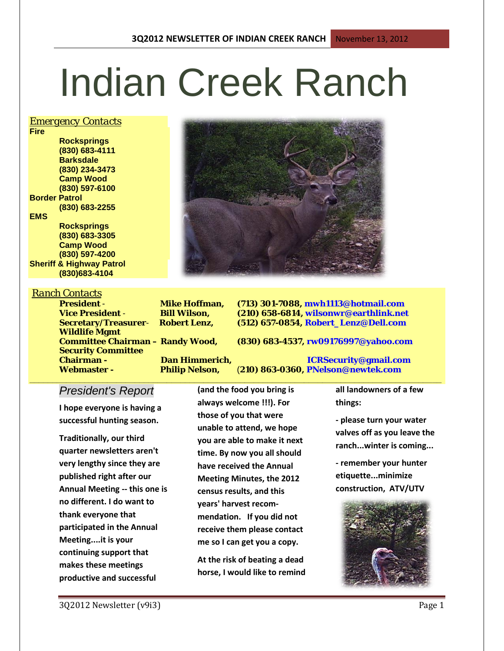# Indian Creek Ranch

#### *Emergency Contacts*

**Fire Rocksprings (830) 683-4111 Barksdale (830) 234-3473 Camp Wood (830) 597-6100 Border Patrol (830) 683-2255 EMS Rocksprings (830) 683-3305 Camp Wood (830) 597-4200**

**Sheriff & Highway Patrol (830)683-4104**

#### *Ranch Contacts*

**Wildlife Mgmt Security Committee Chairman - Dan Himmerich, ICRSecurity@gmail.com Webmaster - Philip Nelson,** (**210) 863-0360, PNelson@newtek.com**

**President** - **Mike Hoffman, (713) 301-7088, mwh1113@hotmail.com Vice President** - **Bill Wilson, (210) 658-6814, wilsonwr@earthlink.net Secretary/Treasurer**- **Robert Lenz, (512) 657-0854, Robert\_Lenz@Dell.com**

**Committee Chairman – Randy Wood, (830) 683-4537, rw09176997@yahoo.com**

## *President's Report*

**I hope everyone is having a successful hunting season.** 

**Traditionally, our third quarter newsletters aren't very lengthy since they are published right after our Annual Meeting -- this one is no different. I do want to thank everyone that participated in the Annual Meeting....it is your continuing support that makes these meetings productive and successful** 

**(and the food you bring is always welcome !!!). For those of you that were unable to attend, we hope you are able to make it next time. By now you all should have received the Annual Meeting Minutes, the 2012 census results, and this years' harvest recommendation. If you did not receive them please contact me so I can get you a copy.** 

**\_\_\_\_\_\_\_\_\_\_\_\_\_\_\_\_\_\_\_\_\_\_\_\_\_\_\_\_\_\_\_\_\_\_\_\_\_\_\_\_\_\_\_\_\_\_\_\_\_\_\_\_\_\_\_\_\_\_\_\_\_\_\_\_\_\_\_\_\_\_\_\_\_\_\_\_\_\_\_\_\_\_\_\_\_\_\_\_\_\_**

**At the risk of beating a dead horse, I would like to remind**  **all landowners of a few things:** 

**- please turn your water valves off as you leave the ranch...winter is coming...**

**- remember your hunter etiquette...minimize construction, ATV/UTV** 

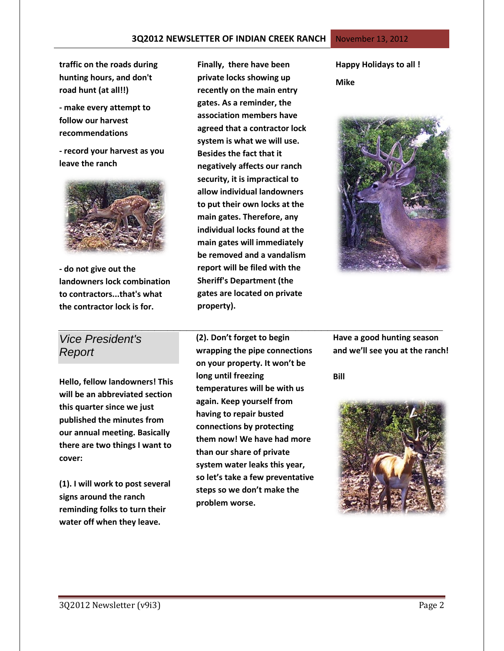**traffic on the roads during hunting hours, and don't road hunt (at all!!)**

**- make every attempt to follow our harvest recommendations**

**- record your harvest as you leave the ranch**



**- do not give out the landowners lock combination to contractors...that's what the contractor lock is for.**

## *Vice President's Report*

**Hello, fellow landowners! This will be an abbreviated section this quarter since we just published the minutes from our annual meeting. Basically there are two things I want to cover:**

**(1). I will work to post several signs around the ranch reminding folks to turn their water off when they leave.**

**Finally, there have been private locks showing up recently on the main entry gates. As a reminder, the association members have agreed that a contractor lock system is what we will use. Besides the fact that it negatively affects our ranch security, it is impractical to allow individual landowners to put their own locks at the main gates. Therefore, any individual locks found at the main gates will immediately be removed and a vandalism report will be filed with the Sheriff's Department (the gates are located on private property).**

**Happy Holidays to all ! Mike**



**(2). Don't forget to begin wrapping the pipe connections on your property. It won't be long until freezing temperatures will be with us again. Keep yourself from having to repair busted connections by protecting them now! We have had more than our share of private system water leaks this year, so let's take a few preventative steps so we don't make the problem worse.**

*\_\_\_\_\_\_\_\_\_\_\_\_\_\_\_\_\_\_\_\_\_\_\_\_\_\_\_\_\_\_\_\_\_\_\_\_\_\_\_\_\_\_\_\_\_\_\_\_\_\_\_\_\_\_\_\_\_\_\_\_* **Have a good hunting season and we'll see you at the ranch!**

**Bill**

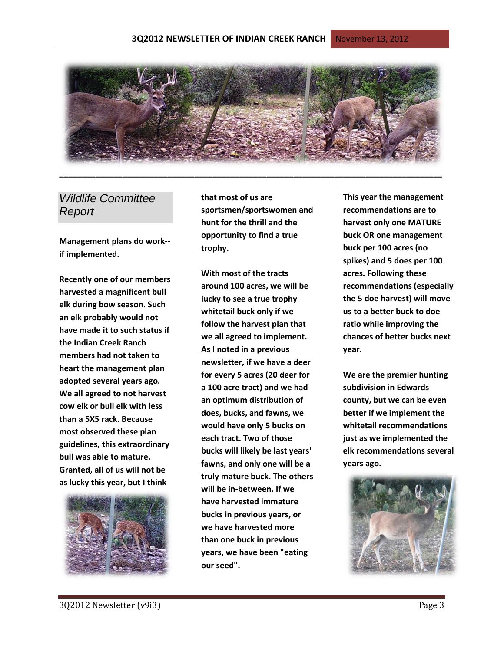

## *Wildlife Committee Report*

**Management plans do work- if implemented.** 

**Recently one of our members harvested a magnificent bull elk during bow season. Such an elk probably would not have made it to such status if the Indian Creek Ranch members had not taken to heart the management plan adopted several years ago. We all agreed to not harvest cow elk or bull elk with less than a 5X5 rack. Because most observed these plan guidelines, this extraordinary bull was able to mature. Granted, all of us will not be as lucky this year, but I think** 



**that most of us are sportsmen/sportswomen and hunt for the thrill and the opportunity to find a true trophy.** 

**With most of the tracts around 100 acres, we will be lucky to see a true trophy whitetail buck only if we follow the harvest plan that we all agreed to implement. As I noted in a previous newsletter, if we have a deer for every 5 acres (20 deer for a 100 acre tract) and we had an optimum distribution of does, bucks, and fawns, we would have only 5 bucks on each tract. Two of those bucks will likely be last years' fawns, and only one will be a truly mature buck. The others will be in-between. If we have harvested immature bucks in previous years, or we have harvested more than one buck in previous years, we have been "eating our seed".** 

**This year the management recommendations are to harvest only one MATURE buck OR one management buck per 100 acres (no spikes) and 5 does per 100 acres. Following these recommendations (especially the 5 doe harvest) will move us to a better buck to doe ratio while improving the chances of better bucks next year.** 

**We are the premier hunting subdivision in Edwards county, but we can be even better if we implement the whitetail recommendations just as we implemented the elk recommendations several years ago.** 

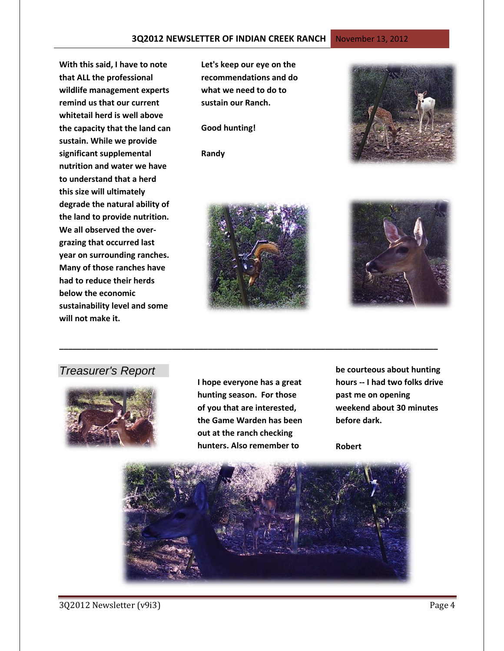**With this said, I have to note that ALL the professional wildlife management experts remind us that our current whitetail herd is well above the capacity that the land can sustain. While we provide significant supplemental nutrition and water we have to understand that a herd this size will ultimately degrade the natural ability of the land to provide nutrition. We all observed the overgrazing that occurred last year on surrounding ranches. Many of those ranches have had to reduce their herds below the economic sustainability level and some will not make it.**

**Let's keep our eye on the recommendations and do what we need to do to sustain our Ranch.** 

#### **Good hunting!**

**Randy**







## *Treasurer's Report*



**I hope everyone has a great hunting season. For those of you that are interested, the Game Warden has been out at the ranch checking hunters. Also remember to** 

**\_\_\_\_\_\_\_\_\_\_\_\_\_\_\_\_\_\_\_\_\_\_\_\_\_\_\_\_\_\_\_\_\_\_\_\_\_\_\_\_\_\_\_\_\_\_\_\_\_\_\_\_\_\_\_\_\_\_\_\_\_\_\_\_\_\_\_\_\_\_\_\_\_\_\_\_\_\_\_\_\_\_\_\_**

**be courteous about hunting hours -- I had two folks drive past me on opening weekend about 30 minutes before dark.** 

**Robert**